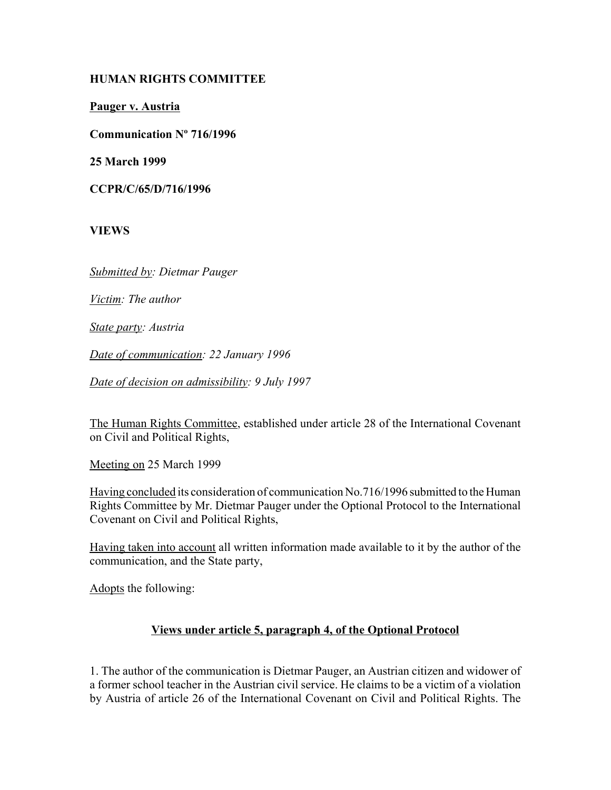## **HUMAN RIGHTS COMMITTEE**

**Pauger v. Austria**

**Communication Nº 716/1996**

**25 March 1999** 

**CCPR/C/65/D/716/1996**

**VIEWS**

*Submitted by: Dietmar Pauger* 

*Victim: The author* 

*State party: Austria* 

*Date of communication: 22 January 1996*

*Date of decision on admissibility: 9 July 1997*

The Human Rights Committee, established under article 28 of the International Covenant on Civil and Political Rights,

Meeting on 25 March 1999

Having concluded its consideration of communication No.716/1996 submitted to the Human Rights Committee by Mr. Dietmar Pauger under the Optional Protocol to the International Covenant on Civil and Political Rights,

Having taken into account all written information made available to it by the author of the communication, and the State party,

Adopts the following:

#### **Views under article 5, paragraph 4, of the Optional Protocol**

1. The author of the communication is Dietmar Pauger, an Austrian citizen and widower of a former school teacher in the Austrian civil service. He claims to be a victim of a violation by Austria of article 26 of the International Covenant on Civil and Political Rights. The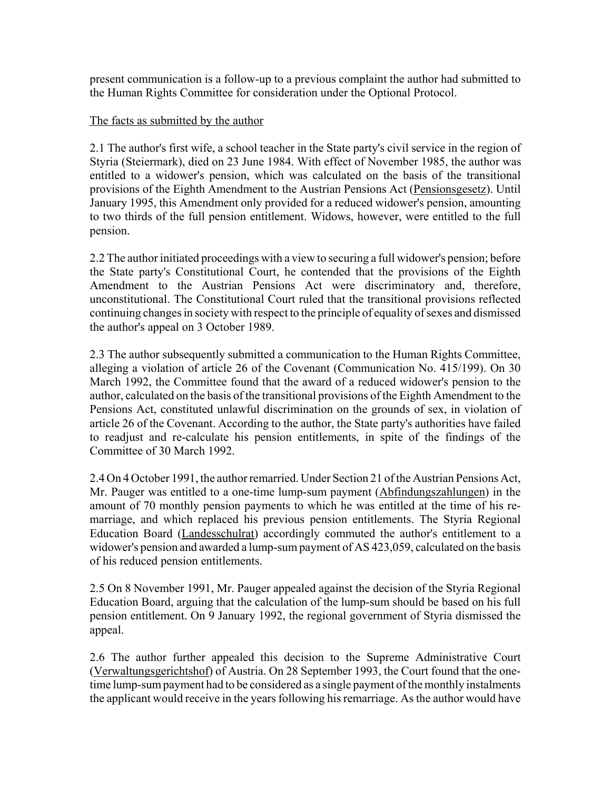present communication is a follow-up to a previous complaint the author had submitted to the Human Rights Committee for consideration under the Optional Protocol.

#### The facts as submitted by the author

2.1 The author's first wife, a school teacher in the State party's civil service in the region of Styria (Steiermark), died on 23 June 1984. With effect of November 1985, the author was entitled to a widower's pension, which was calculated on the basis of the transitional provisions of the Eighth Amendment to the Austrian Pensions Act (Pensionsgesetz). Until January 1995, this Amendment only provided for a reduced widower's pension, amounting to two thirds of the full pension entitlement. Widows, however, were entitled to the full pension.

2.2 The author initiated proceedings with a view to securing a full widower's pension; before the State party's Constitutional Court, he contended that the provisions of the Eighth Amendment to the Austrian Pensions Act were discriminatory and, therefore, unconstitutional. The Constitutional Court ruled that the transitional provisions reflected continuing changes in society with respect to the principle of equality of sexes and dismissed the author's appeal on 3 October 1989.

2.3 The author subsequently submitted a communication to the Human Rights Committee, alleging a violation of article 26 of the Covenant (Communication No. 415/199). On 30 March 1992, the Committee found that the award of a reduced widower's pension to the author, calculated on the basis of the transitional provisions of the Eighth Amendment to the Pensions Act, constituted unlawful discrimination on the grounds of sex, in violation of article 26 of the Covenant. According to the author, the State party's authorities have failed to readjust and re-calculate his pension entitlements, in spite of the findings of the Committee of 30 March 1992.

2.4 On 4 October 1991, the author remarried. Under Section 21 of the Austrian Pensions Act, Mr. Pauger was entitled to a one-time lump-sum payment (Abfindungszahlungen) in the amount of 70 monthly pension payments to which he was entitled at the time of his remarriage, and which replaced his previous pension entitlements. The Styria Regional Education Board (Landesschulrat) accordingly commuted the author's entitlement to a widower's pension and awarded a lump-sum payment of AS 423,059, calculated on the basis of his reduced pension entitlements.

2.5 On 8 November 1991, Mr. Pauger appealed against the decision of the Styria Regional Education Board, arguing that the calculation of the lump-sum should be based on his full pension entitlement. On 9 January 1992, the regional government of Styria dismissed the appeal.

2.6 The author further appealed this decision to the Supreme Administrative Court (Verwaltungsgerichtshof) of Austria. On 28 September 1993, the Court found that the onetime lump-sum payment had to be considered as a single payment of the monthly instalments the applicant would receive in the years following his remarriage. As the author would have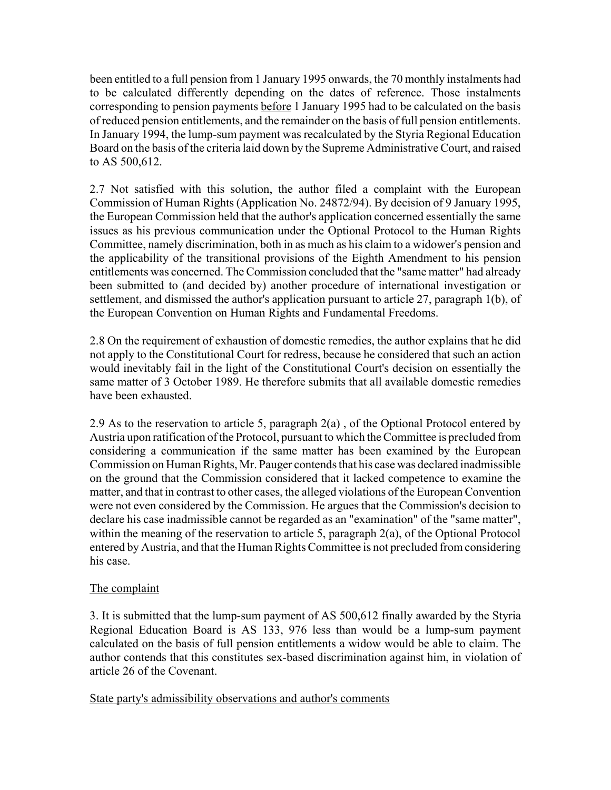been entitled to a full pension from 1 January 1995 onwards, the 70 monthly instalments had to be calculated differently depending on the dates of reference. Those instalments corresponding to pension payments before 1 January 1995 had to be calculated on the basis of reduced pension entitlements, and the remainder on the basis of full pension entitlements. In January 1994, the lump-sum payment was recalculated by the Styria Regional Education Board on the basis of the criteria laid down by the Supreme Administrative Court, and raised to AS 500,612.

2.7 Not satisfied with this solution, the author filed a complaint with the European Commission of Human Rights (Application No. 24872/94). By decision of 9 January 1995, the European Commission held that the author's application concerned essentially the same issues as his previous communication under the Optional Protocol to the Human Rights Committee, namely discrimination, both in as much as his claim to a widower's pension and the applicability of the transitional provisions of the Eighth Amendment to his pension entitlements was concerned. The Commission concluded that the "same matter" had already been submitted to (and decided by) another procedure of international investigation or settlement, and dismissed the author's application pursuant to article 27, paragraph 1(b), of the European Convention on Human Rights and Fundamental Freedoms.

2.8 On the requirement of exhaustion of domestic remedies, the author explains that he did not apply to the Constitutional Court for redress, because he considered that such an action would inevitably fail in the light of the Constitutional Court's decision on essentially the same matter of 3 October 1989. He therefore submits that all available domestic remedies have been exhausted.

2.9 As to the reservation to article 5, paragraph 2(a) , of the Optional Protocol entered by Austria upon ratification of the Protocol, pursuant to which the Committee is precluded from considering a communication if the same matter has been examined by the European Commission on Human Rights, Mr. Pauger contends that his case was declared inadmissible on the ground that the Commission considered that it lacked competence to examine the matter, and that in contrast to other cases, the alleged violations of the European Convention were not even considered by the Commission. He argues that the Commission's decision to declare his case inadmissible cannot be regarded as an "examination" of the "same matter", within the meaning of the reservation to article 5, paragraph 2(a), of the Optional Protocol entered by Austria, and that the Human Rights Committee is not precluded from considering his case.

# The complaint

3. It is submitted that the lump-sum payment of AS 500,612 finally awarded by the Styria Regional Education Board is AS 133, 976 less than would be a lump-sum payment calculated on the basis of full pension entitlements a widow would be able to claim. The author contends that this constitutes sex-based discrimination against him, in violation of article 26 of the Covenant.

State party's admissibility observations and author's comments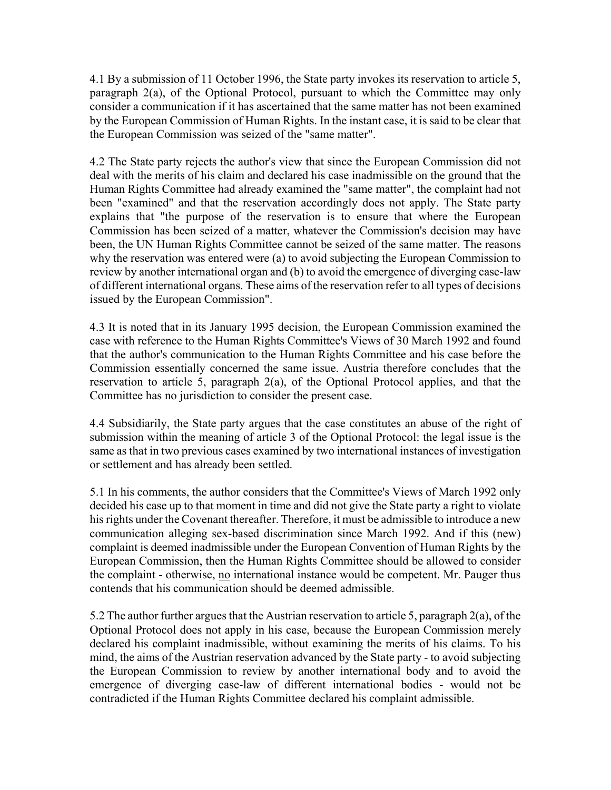4.1 By a submission of 11 October 1996, the State party invokes its reservation to article 5, paragraph 2(a), of the Optional Protocol, pursuant to which the Committee may only consider a communication if it has ascertained that the same matter has not been examined by the European Commission of Human Rights. In the instant case, it is said to be clear that the European Commission was seized of the "same matter".

4.2 The State party rejects the author's view that since the European Commission did not deal with the merits of his claim and declared his case inadmissible on the ground that the Human Rights Committee had already examined the "same matter", the complaint had not been "examined" and that the reservation accordingly does not apply. The State party explains that "the purpose of the reservation is to ensure that where the European Commission has been seized of a matter, whatever the Commission's decision may have been, the UN Human Rights Committee cannot be seized of the same matter. The reasons why the reservation was entered were (a) to avoid subjecting the European Commission to review by another international organ and (b) to avoid the emergence of diverging case-law of different international organs. These aims of the reservation refer to all types of decisions issued by the European Commission".

4.3 It is noted that in its January 1995 decision, the European Commission examined the case with reference to the Human Rights Committee's Views of 30 March 1992 and found that the author's communication to the Human Rights Committee and his case before the Commission essentially concerned the same issue. Austria therefore concludes that the reservation to article 5, paragraph 2(a), of the Optional Protocol applies, and that the Committee has no jurisdiction to consider the present case.

4.4 Subsidiarily, the State party argues that the case constitutes an abuse of the right of submission within the meaning of article 3 of the Optional Protocol: the legal issue is the same as that in two previous cases examined by two international instances of investigation or settlement and has already been settled.

5.1 In his comments, the author considers that the Committee's Views of March 1992 only decided his case up to that moment in time and did not give the State party a right to violate his rights under the Covenant thereafter. Therefore, it must be admissible to introduce a new communication alleging sex-based discrimination since March 1992. And if this (new) complaint is deemed inadmissible under the European Convention of Human Rights by the European Commission, then the Human Rights Committee should be allowed to consider the complaint - otherwise, no international instance would be competent. Mr. Pauger thus contends that his communication should be deemed admissible.

5.2 The author further argues that the Austrian reservation to article 5, paragraph 2(a), of the Optional Protocol does not apply in his case, because the European Commission merely declared his complaint inadmissible, without examining the merits of his claims. To his mind, the aims of the Austrian reservation advanced by the State party - to avoid subjecting the European Commission to review by another international body and to avoid the emergence of diverging case-law of different international bodies - would not be contradicted if the Human Rights Committee declared his complaint admissible.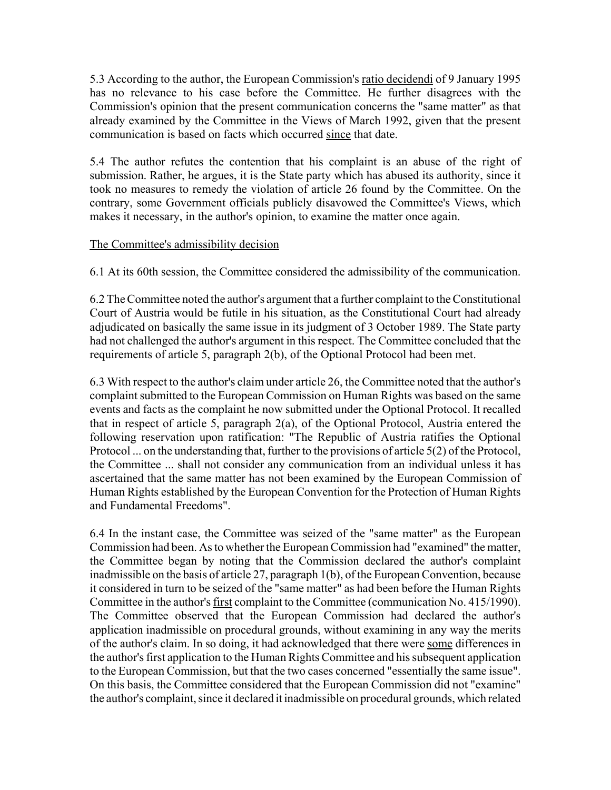5.3 According to the author, the European Commission's ratio decidendi of 9 January 1995 has no relevance to his case before the Committee. He further disagrees with the Commission's opinion that the present communication concerns the "same matter" as that already examined by the Committee in the Views of March 1992, given that the present communication is based on facts which occurred since that date.

5.4 The author refutes the contention that his complaint is an abuse of the right of submission. Rather, he argues, it is the State party which has abused its authority, since it took no measures to remedy the violation of article 26 found by the Committee. On the contrary, some Government officials publicly disavowed the Committee's Views, which makes it necessary, in the author's opinion, to examine the matter once again.

## The Committee's admissibility decision

6.1 At its 60th session, the Committee considered the admissibility of the communication.

6.2 The Committee noted the author's argument that a further complaint to the Constitutional Court of Austria would be futile in his situation, as the Constitutional Court had already adjudicated on basically the same issue in its judgment of 3 October 1989. The State party had not challenged the author's argument in this respect. The Committee concluded that the requirements of article 5, paragraph 2(b), of the Optional Protocol had been met.

6.3 With respect to the author's claim under article 26, the Committee noted that the author's complaint submitted to the European Commission on Human Rights was based on the same events and facts as the complaint he now submitted under the Optional Protocol. It recalled that in respect of article 5, paragraph 2(a), of the Optional Protocol, Austria entered the following reservation upon ratification: "The Republic of Austria ratifies the Optional Protocol ... on the understanding that, further to the provisions of article 5(2) of the Protocol, the Committee ... shall not consider any communication from an individual unless it has ascertained that the same matter has not been examined by the European Commission of Human Rights established by the European Convention for the Protection of Human Rights and Fundamental Freedoms".

6.4 In the instant case, the Committee was seized of the "same matter" as the European Commission had been. As to whether the European Commission had "examined" the matter, the Committee began by noting that the Commission declared the author's complaint inadmissible on the basis of article 27, paragraph 1(b), of the European Convention, because it considered in turn to be seized of the "same matter" as had been before the Human Rights Committee in the author's first complaint to the Committee (communication No. 415/1990). The Committee observed that the European Commission had declared the author's application inadmissible on procedural grounds, without examining in any way the merits of the author's claim. In so doing, it had acknowledged that there were some differences in the author's first application to the Human Rights Committee and his subsequent application to the European Commission, but that the two cases concerned "essentially the same issue". On this basis, the Committee considered that the European Commission did not "examine" the author's complaint, since it declared it inadmissible on procedural grounds, which related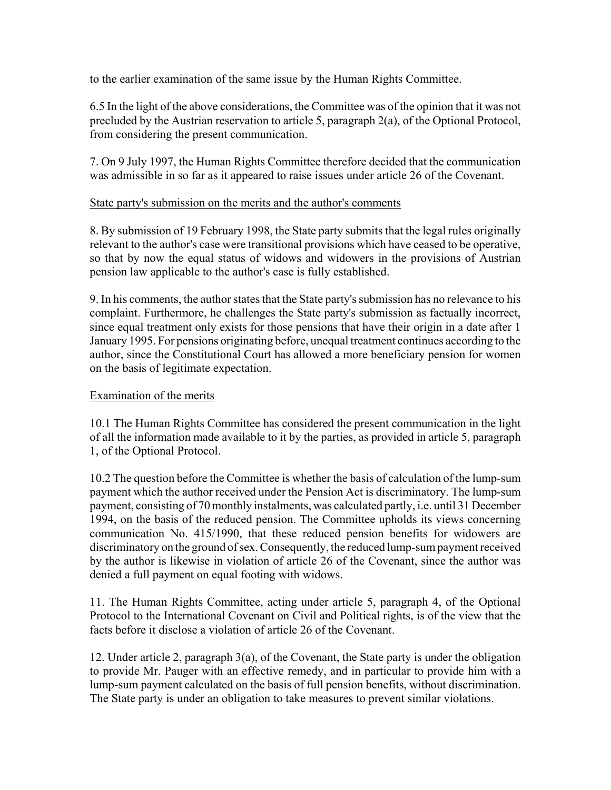to the earlier examination of the same issue by the Human Rights Committee.

6.5 In the light of the above considerations, the Committee was of the opinion that it was not precluded by the Austrian reservation to article 5, paragraph 2(a), of the Optional Protocol, from considering the present communication.

7. On 9 July 1997, the Human Rights Committee therefore decided that the communication was admissible in so far as it appeared to raise issues under article 26 of the Covenant.

## State party's submission on the merits and the author's comments

8. By submission of 19 February 1998, the State party submits that the legal rules originally relevant to the author's case were transitional provisions which have ceased to be operative, so that by now the equal status of widows and widowers in the provisions of Austrian pension law applicable to the author's case is fully established.

9. In his comments, the author states that the State party's submission has no relevance to his complaint. Furthermore, he challenges the State party's submission as factually incorrect, since equal treatment only exists for those pensions that have their origin in a date after 1 January 1995. For pensions originating before, unequal treatment continues according to the author, since the Constitutional Court has allowed a more beneficiary pension for women on the basis of legitimate expectation.

# Examination of the merits

10.1 The Human Rights Committee has considered the present communication in the light of all the information made available to it by the parties, as provided in article 5, paragraph 1, of the Optional Protocol.

10.2 The question before the Committee is whether the basis of calculation of the lump-sum payment which the author received under the Pension Act is discriminatory. The lump-sum payment, consisting of 70 monthly instalments, was calculated partly, i.e. until 31 December 1994, on the basis of the reduced pension. The Committee upholds its views concerning communication No. 415/1990, that these reduced pension benefits for widowers are discriminatory on the ground of sex. Consequently, the reduced lump-sum payment received by the author is likewise in violation of article 26 of the Covenant, since the author was denied a full payment on equal footing with widows.

11. The Human Rights Committee, acting under article 5, paragraph 4, of the Optional Protocol to the International Covenant on Civil and Political rights, is of the view that the facts before it disclose a violation of article 26 of the Covenant.

12. Under article 2, paragraph 3(a), of the Covenant, the State party is under the obligation to provide Mr. Pauger with an effective remedy, and in particular to provide him with a lump-sum payment calculated on the basis of full pension benefits, without discrimination. The State party is under an obligation to take measures to prevent similar violations.